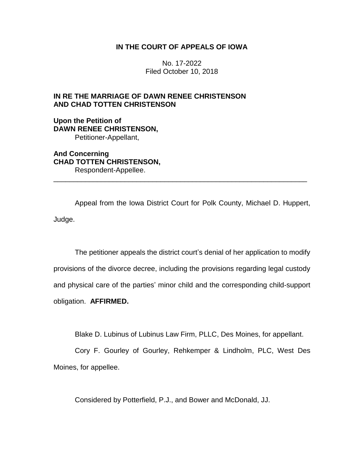# **IN THE COURT OF APPEALS OF IOWA**

No. 17-2022 Filed October 10, 2018

# **IN RE THE MARRIAGE OF DAWN RENEE CHRISTENSON AND CHAD TOTTEN CHRISTENSON**

**Upon the Petition of DAWN RENEE CHRISTENSON,** Petitioner-Appellant,

**And Concerning CHAD TOTTEN CHRISTENSON,** Respondent-Appellee.

Appeal from the Iowa District Court for Polk County, Michael D. Huppert, Judge.

\_\_\_\_\_\_\_\_\_\_\_\_\_\_\_\_\_\_\_\_\_\_\_\_\_\_\_\_\_\_\_\_\_\_\_\_\_\_\_\_\_\_\_\_\_\_\_\_\_\_\_\_\_\_\_\_\_\_\_\_\_\_\_\_

The petitioner appeals the district court's denial of her application to modify provisions of the divorce decree, including the provisions regarding legal custody and physical care of the parties' minor child and the corresponding child-support obligation. **AFFIRMED.**

Blake D. Lubinus of Lubinus Law Firm, PLLC, Des Moines, for appellant.

Cory F. Gourley of Gourley, Rehkemper & Lindholm, PLC, West Des Moines, for appellee.

Considered by Potterfield, P.J., and Bower and McDonald, JJ.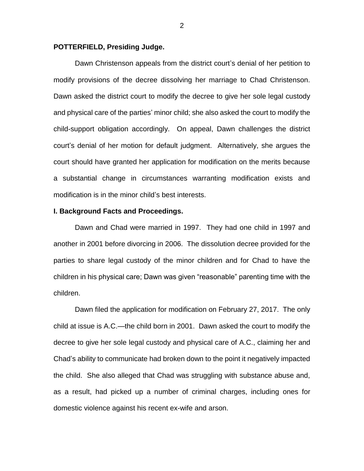### **POTTERFIELD, Presiding Judge.**

Dawn Christenson appeals from the district court's denial of her petition to modify provisions of the decree dissolving her marriage to Chad Christenson. Dawn asked the district court to modify the decree to give her sole legal custody and physical care of the parties' minor child; she also asked the court to modify the child-support obligation accordingly. On appeal, Dawn challenges the district court's denial of her motion for default judgment. Alternatively, she argues the court should have granted her application for modification on the merits because a substantial change in circumstances warranting modification exists and modification is in the minor child's best interests.

### **I. Background Facts and Proceedings.**

Dawn and Chad were married in 1997. They had one child in 1997 and another in 2001 before divorcing in 2006. The dissolution decree provided for the parties to share legal custody of the minor children and for Chad to have the children in his physical care; Dawn was given "reasonable" parenting time with the children.

Dawn filed the application for modification on February 27, 2017. The only child at issue is A.C.—the child born in 2001. Dawn asked the court to modify the decree to give her sole legal custody and physical care of A.C., claiming her and Chad's ability to communicate had broken down to the point it negatively impacted the child. She also alleged that Chad was struggling with substance abuse and, as a result, had picked up a number of criminal charges, including ones for domestic violence against his recent ex-wife and arson.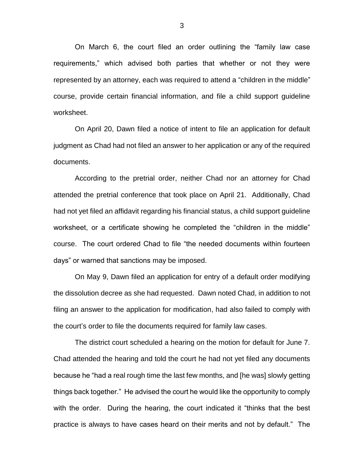On March 6, the court filed an order outlining the "family law case requirements," which advised both parties that whether or not they were represented by an attorney, each was required to attend a "children in the middle" course, provide certain financial information, and file a child support guideline worksheet.

On April 20, Dawn filed a notice of intent to file an application for default judgment as Chad had not filed an answer to her application or any of the required documents.

According to the pretrial order, neither Chad nor an attorney for Chad attended the pretrial conference that took place on April 21. Additionally, Chad had not yet filed an affidavit regarding his financial status, a child support guideline worksheet, or a certificate showing he completed the "children in the middle" course. The court ordered Chad to file "the needed documents within fourteen days" or warned that sanctions may be imposed.

On May 9, Dawn filed an application for entry of a default order modifying the dissolution decree as she had requested. Dawn noted Chad, in addition to not filing an answer to the application for modification, had also failed to comply with the court's order to file the documents required for family law cases.

The district court scheduled a hearing on the motion for default for June 7. Chad attended the hearing and told the court he had not yet filed any documents because he "had a real rough time the last few months, and [he was] slowly getting things back together." He advised the court he would like the opportunity to comply with the order. During the hearing, the court indicated it "thinks that the best practice is always to have cases heard on their merits and not by default." The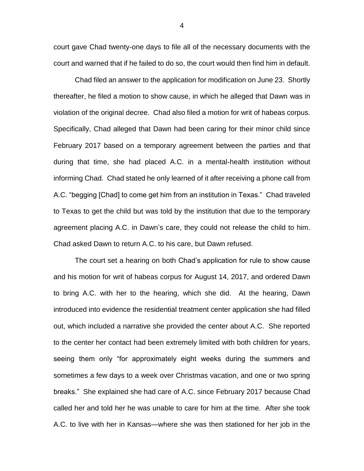court gave Chad twenty-one days to file all of the necessary documents with the court and warned that if he failed to do so, the court would then find him in default.

Chad filed an answer to the application for modification on June 23. Shortly thereafter, he filed a motion to show cause, in which he alleged that Dawn was in violation of the original decree. Chad also filed a motion for writ of habeas corpus. Specifically, Chad alleged that Dawn had been caring for their minor child since February 2017 based on a temporary agreement between the parties and that during that time, she had placed A.C. in a mental-health institution without informing Chad. Chad stated he only learned of it after receiving a phone call from A.C. "begging [Chad] to come get him from an institution in Texas." Chad traveled to Texas to get the child but was told by the institution that due to the temporary agreement placing A.C. in Dawn's care, they could not release the child to him. Chad asked Dawn to return A.C. to his care, but Dawn refused.

The court set a hearing on both Chad's application for rule to show cause and his motion for writ of habeas corpus for August 14, 2017, and ordered Dawn to bring A.C. with her to the hearing, which she did. At the hearing, Dawn introduced into evidence the residential treatment center application she had filled out, which included a narrative she provided the center about A.C. She reported to the center her contact had been extremely limited with both children for years, seeing them only "for approximately eight weeks during the summers and sometimes a few days to a week over Christmas vacation, and one or two spring breaks." She explained she had care of A.C. since February 2017 because Chad called her and told her he was unable to care for him at the time. After she took A.C. to live with her in Kansas—where she was then stationed for her job in the

4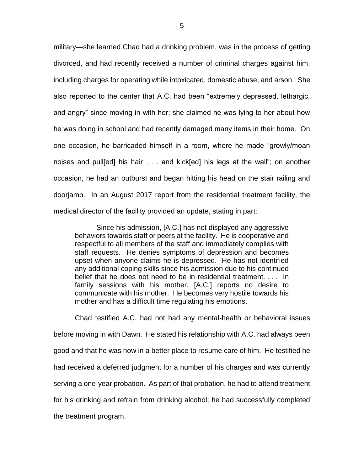military—she learned Chad had a drinking problem, was in the process of getting divorced, and had recently received a number of criminal charges against him, including charges for operating while intoxicated, domestic abuse, and arson. She also reported to the center that A.C. had been "extremely depressed, lethargic, and angry" since moving in with her; she claimed he was lying to her about how he was doing in school and had recently damaged many items in their home. On one occasion, he barricaded himself in a room, where he made "growly/moan noises and pull[ed] his hair . . . and kick[ed] his legs at the wall"; on another occasion, he had an outburst and began hitting his head on the stair railing and doorjamb. In an August 2017 report from the residential treatment facility, the medical director of the facility provided an update, stating in part:

Since his admission, [A.C.] has not displayed any aggressive behaviors towards staff or peers at the facility. He is cooperative and respectful to all members of the staff and immediately complies with staff requests. He denies symptoms of depression and becomes upset when anyone claims he is depressed. He has not identified any additional coping skills since his admission due to his continued belief that he does not need to be in residential treatment. . . . In family sessions with his mother, [A.C.] reports no desire to communicate with his mother. He becomes very hostile towards his mother and has a difficult time regulating his emotions.

Chad testified A.C. had not had any mental-health or behavioral issues before moving in with Dawn. He stated his relationship with A.C. had always been good and that he was now in a better place to resume care of him. He testified he had received a deferred judgment for a number of his charges and was currently serving a one-year probation. As part of that probation, he had to attend treatment for his drinking and refrain from drinking alcohol; he had successfully completed the treatment program.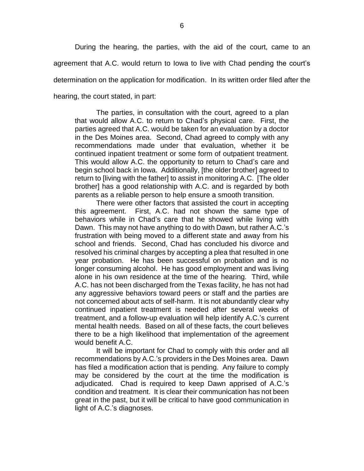During the hearing, the parties, with the aid of the court, came to an agreement that A.C. would return to Iowa to live with Chad pending the court's determination on the application for modification. In its written order filed after the hearing, the court stated, in part:

The parties, in consultation with the court, agreed to a plan that would allow A.C. to return to Chad's physical care. First, the parties agreed that A.C. would be taken for an evaluation by a doctor in the Des Moines area. Second, Chad agreed to comply with any recommendations made under that evaluation, whether it be continued inpatient treatment or some form of outpatient treatment. This would allow A.C. the opportunity to return to Chad's care and begin school back in Iowa. Additionally, [the older brother] agreed to return to [living with the father] to assist in monitoring A.C. [The older brother] has a good relationship with A.C. and is regarded by both parents as a reliable person to help ensure a smooth transition.

There were other factors that assisted the court in accepting this agreement. First, A.C. had not shown the same type of behaviors while in Chad's care that he showed while living with Dawn. This may not have anything to do with Dawn, but rather A.C.'s frustration with being moved to a different state and away from his school and friends. Second, Chad has concluded his divorce and resolved his criminal charges by accepting a plea that resulted in one year probation. He has been successful on probation and is no longer consuming alcohol. He has good employment and was living alone in his own residence at the time of the hearing. Third, while A.C. has not been discharged from the Texas facility, he has not had any aggressive behaviors toward peers or staff and the parties are not concerned about acts of self-harm. It is not abundantly clear why continued inpatient treatment is needed after several weeks of treatment, and a follow-up evaluation will help identify A.C.'s current mental health needs. Based on all of these facts, the court believes there to be a high likelihood that implementation of the agreement would benefit A.C.

It will be important for Chad to comply with this order and all recommendations by A.C.'s providers in the Des Moines area. Dawn has filed a modification action that is pending. Any failure to comply may be considered by the court at the time the modification is adjudicated. Chad is required to keep Dawn apprised of A.C.'s condition and treatment. It is clear their communication has not been great in the past, but it will be critical to have good communication in light of A.C.'s diagnoses.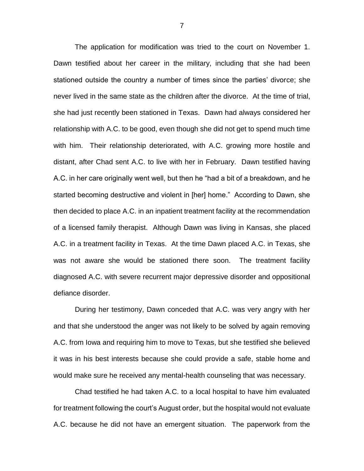The application for modification was tried to the court on November 1. Dawn testified about her career in the military, including that she had been stationed outside the country a number of times since the parties' divorce; she never lived in the same state as the children after the divorce. At the time of trial, she had just recently been stationed in Texas. Dawn had always considered her relationship with A.C. to be good, even though she did not get to spend much time with him. Their relationship deteriorated, with A.C. growing more hostile and distant, after Chad sent A.C. to live with her in February. Dawn testified having A.C. in her care originally went well, but then he "had a bit of a breakdown, and he started becoming destructive and violent in [her] home." According to Dawn, she then decided to place A.C. in an inpatient treatment facility at the recommendation of a licensed family therapist. Although Dawn was living in Kansas, she placed A.C. in a treatment facility in Texas. At the time Dawn placed A.C. in Texas, she was not aware she would be stationed there soon. The treatment facility diagnosed A.C. with severe recurrent major depressive disorder and oppositional defiance disorder.

During her testimony, Dawn conceded that A.C. was very angry with her and that she understood the anger was not likely to be solved by again removing A.C. from Iowa and requiring him to move to Texas, but she testified she believed it was in his best interests because she could provide a safe, stable home and would make sure he received any mental-health counseling that was necessary.

Chad testified he had taken A.C. to a local hospital to have him evaluated for treatment following the court's August order, but the hospital would not evaluate A.C. because he did not have an emergent situation. The paperwork from the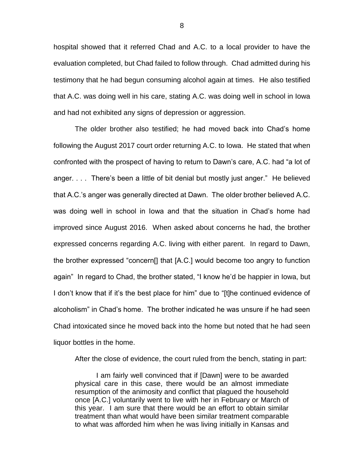hospital showed that it referred Chad and A.C. to a local provider to have the evaluation completed, but Chad failed to follow through. Chad admitted during his testimony that he had begun consuming alcohol again at times. He also testified that A.C. was doing well in his care, stating A.C. was doing well in school in Iowa and had not exhibited any signs of depression or aggression.

The older brother also testified; he had moved back into Chad's home following the August 2017 court order returning A.C. to Iowa. He stated that when confronted with the prospect of having to return to Dawn's care, A.C. had "a lot of anger. . . . There's been a little of bit denial but mostly just anger." He believed that A.C.'s anger was generally directed at Dawn. The older brother believed A.C. was doing well in school in Iowa and that the situation in Chad's home had improved since August 2016. When asked about concerns he had, the brother expressed concerns regarding A.C. living with either parent. In regard to Dawn, the brother expressed "concern[] that [A.C.] would become too angry to function again" In regard to Chad, the brother stated, "I know he'd be happier in Iowa, but I don't know that if it's the best place for him" due to "[t]he continued evidence of alcoholism" in Chad's home. The brother indicated he was unsure if he had seen Chad intoxicated since he moved back into the home but noted that he had seen liquor bottles in the home.

After the close of evidence, the court ruled from the bench, stating in part:

I am fairly well convinced that if [Dawn] were to be awarded physical care in this case, there would be an almost immediate resumption of the animosity and conflict that plagued the household once [A.C.] voluntarily went to live with her in February or March of this year. I am sure that there would be an effort to obtain similar treatment than what would have been similar treatment comparable to what was afforded him when he was living initially in Kansas and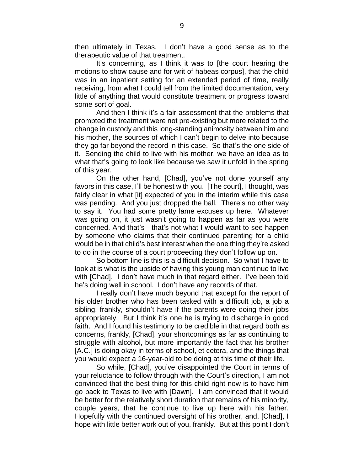then ultimately in Texas. I don't have a good sense as to the therapeutic value of that treatment.

It's concerning, as I think it was to [the court hearing the motions to show cause and for writ of habeas corpus], that the child was in an inpatient setting for an extended period of time, really receiving, from what I could tell from the limited documentation, very little of anything that would constitute treatment or progress toward some sort of goal.

And then I think it's a fair assessment that the problems that prompted the treatment were not pre-existing but more related to the change in custody and this long-standing animosity between him and his mother, the sources of which I can't begin to delve into because they go far beyond the record in this case. So that's the one side of it. Sending the child to live with his mother, we have an idea as to what that's going to look like because we saw it unfold in the spring of this year.

On the other hand, [Chad], you've not done yourself any favors in this case, I'll be honest with you. [The court], I thought, was fairly clear in what [it] expected of you in the interim while this case was pending. And you just dropped the ball. There's no other way to say it. You had some pretty lame excuses up here. Whatever was going on, it just wasn't going to happen as far as you were concerned. And that's—that's not what I would want to see happen by someone who claims that their continued parenting for a child would be in that child's best interest when the one thing they're asked to do in the course of a court proceeding they don't follow up on.

So bottom line is this is a difficult decision. So what I have to look at is what is the upside of having this young man continue to live with [Chad]. I don't have much in that regard either. I've been told he's doing well in school. I don't have any records of that.

I really don't have much beyond that except for the report of his older brother who has been tasked with a difficult job, a job a sibling, frankly, shouldn't have if the parents were doing their jobs appropriately. But I think it's one he is trying to discharge in good faith. And I found his testimony to be credible in that regard both as concerns, frankly, [Chad], your shortcomings as far as continuing to struggle with alcohol, but more importantly the fact that his brother [A.C.] is doing okay in terms of school, et cetera, and the things that you would expect a 16-year-old to be doing at this time of their life.

So while, [Chad], you've disappointed the Court in terms of your reluctance to follow through with the Court's direction, I am not convinced that the best thing for this child right now is to have him go back to Texas to live with [Dawn]. I am convinced that it would be better for the relatively short duration that remains of his minority, couple years, that he continue to live up here with his father. Hopefully with the continued oversight of his brother, and, [Chad], I hope with little better work out of you, frankly. But at this point I don't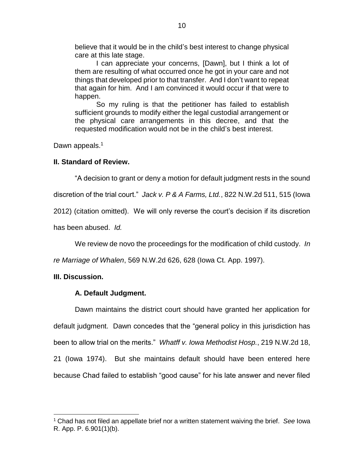believe that it would be in the child's best interest to change physical care at this late stage.

I can appreciate your concerns, [Dawn], but I think a lot of them are resulting of what occurred once he got in your care and not things that developed prior to that transfer. And I don't want to repeat that again for him. And I am convinced it would occur if that were to happen.

So my ruling is that the petitioner has failed to establish sufficient grounds to modify either the legal custodial arrangement or the physical care arrangements in this decree, and that the requested modification would not be in the child's best interest.

Dawn appeals.<sup>1</sup>

### **II. Standard of Review.**

"A decision to grant or deny a motion for default judgment rests in the sound

discretion of the trial court." *Jack v. P & A Farms, Ltd.*, 822 N.W.2d 511, 515 (Iowa

2012) (citation omitted). We will only reverse the court's decision if its discretion

has been abused. *Id.*

We review de novo the proceedings for the modification of child custody. *In* 

*re Marriage of Whalen*, 569 N.W.2d 626, 628 (Iowa Ct. App. 1997).

## **III. Discussion.**

 $\overline{a}$ 

## **A. Default Judgment.**

Dawn maintains the district court should have granted her application for default judgment. Dawn concedes that the "general policy in this jurisdiction has been to allow trial on the merits." *Whatff v. Iowa Methodist Hosp.*, 219 N.W.2d 18, 21 (Iowa 1974). But she maintains default should have been entered here because Chad failed to establish "good cause" for his late answer and never filed

<sup>1</sup> Chad has not filed an appellate brief nor a written statement waiving the brief. *See* Iowa R. App. P. 6.901(1)(b).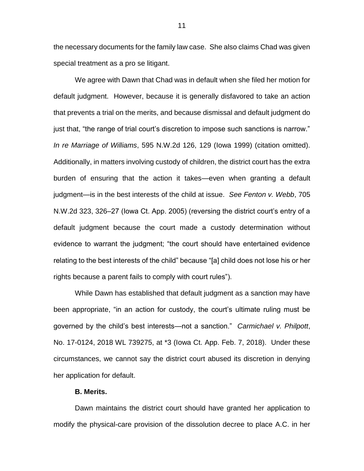the necessary documents for the family law case. She also claims Chad was given special treatment as a pro se litigant.

We agree with Dawn that Chad was in default when she filed her motion for default judgment. However, because it is generally disfavored to take an action that prevents a trial on the merits, and because dismissal and default judgment do just that, "the range of trial court's discretion to impose such sanctions is narrow." *In re Marriage of Williams*, 595 N.W.2d 126, 129 (Iowa 1999) (citation omitted). Additionally, in matters involving custody of children, the district court has the extra burden of ensuring that the action it takes—even when granting a default judgment—is in the best interests of the child at issue. *See Fenton v. Webb*, 705 N.W.2d 323, 326–27 (Iowa Ct. App. 2005) (reversing the district court's entry of a default judgment because the court made a custody determination without evidence to warrant the judgment; "the court should have entertained evidence relating to the best interests of the child" because "[a] child does not lose his or her rights because a parent fails to comply with court rules").

While Dawn has established that default judgment as a sanction may have been appropriate, "in an action for custody, the court's ultimate ruling must be governed by the child's best interests—not a sanction." *Carmichael v. Philpott*, No. 17-0124, 2018 WL 739275, at \*3 (Iowa Ct. App. Feb. 7, 2018). Under these circumstances, we cannot say the district court abused its discretion in denying her application for default.

### **B. Merits.**

Dawn maintains the district court should have granted her application to modify the physical-care provision of the dissolution decree to place A.C. in her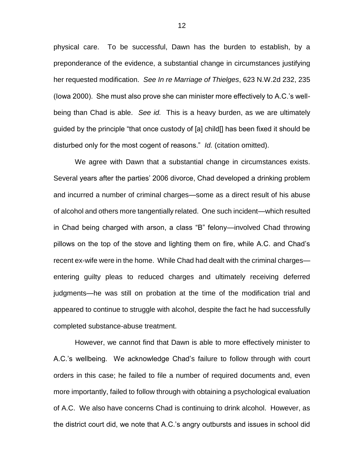physical care. To be successful, Dawn has the burden to establish, by a preponderance of the evidence, a substantial change in circumstances justifying her requested modification. *See In re Marriage of Thielges*, 623 N.W.2d 232, 235 (Iowa 2000). She must also prove she can minister more effectively to A.C.'s wellbeing than Chad is able. *See id.* This is a heavy burden, as we are ultimately guided by the principle "that once custody of [a] child[] has been fixed it should be disturbed only for the most cogent of reasons." *Id.* (citation omitted).

We agree with Dawn that a substantial change in circumstances exists. Several years after the parties' 2006 divorce, Chad developed a drinking problem and incurred a number of criminal charges—some as a direct result of his abuse of alcohol and others more tangentially related. One such incident—which resulted in Chad being charged with arson, a class "B" felony—involved Chad throwing pillows on the top of the stove and lighting them on fire, while A.C. and Chad's recent ex-wife were in the home. While Chad had dealt with the criminal charges entering guilty pleas to reduced charges and ultimately receiving deferred judgments—he was still on probation at the time of the modification trial and appeared to continue to struggle with alcohol, despite the fact he had successfully completed substance-abuse treatment.

However, we cannot find that Dawn is able to more effectively minister to A.C.'s wellbeing. We acknowledge Chad's failure to follow through with court orders in this case; he failed to file a number of required documents and, even more importantly, failed to follow through with obtaining a psychological evaluation of A.C. We also have concerns Chad is continuing to drink alcohol. However, as the district court did, we note that A.C.'s angry outbursts and issues in school did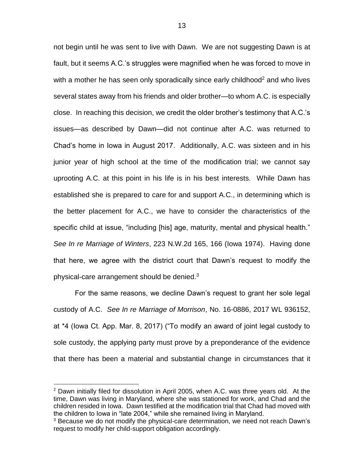not begin until he was sent to live with Dawn. We are not suggesting Dawn is at fault, but it seems A.C.'s struggles were magnified when he was forced to move in with a mother he has seen only sporadically since early childhood<sup>2</sup> and who lives several states away from his friends and older brother—to whom A.C. is especially close. In reaching this decision, we credit the older brother's testimony that A.C.'s issues—as described by Dawn—did not continue after A.C. was returned to Chad's home in Iowa in August 2017. Additionally, A.C. was sixteen and in his junior year of high school at the time of the modification trial; we cannot say uprooting A.C. at this point in his life is in his best interests. While Dawn has established she is prepared to care for and support A.C., in determining which is the better placement for A.C., we have to consider the characteristics of the specific child at issue, "including [his] age, maturity, mental and physical health." *See In re Marriage of Winters*, 223 N.W.2d 165, 166 (Iowa 1974). Having done that here, we agree with the district court that Dawn's request to modify the physical-care arrangement should be denied. $3$ 

For the same reasons, we decline Dawn's request to grant her sole legal custody of A.C. *See In re Marriage of Morrison*, No. 16-0886, 2017 WL 936152, at \*4 (Iowa Ct. App. Mar. 8, 2017) ("To modify an award of joint legal custody to sole custody, the applying party must prove by a preponderance of the evidence that there has been a material and substantial change in circumstances that it

 $\overline{a}$ 

 $2$  Dawn initially filed for dissolution in April 2005, when A.C. was three years old. At the time, Dawn was living in Maryland, where she was stationed for work, and Chad and the children resided in Iowa. Dawn testified at the modification trial that Chad had moved with the children to Iowa in "late 2004," while she remained living in Maryland.

<sup>&</sup>lt;sup>3</sup> Because we do not modify the physical-care determination, we need not reach Dawn's request to modify her child-support obligation accordingly.